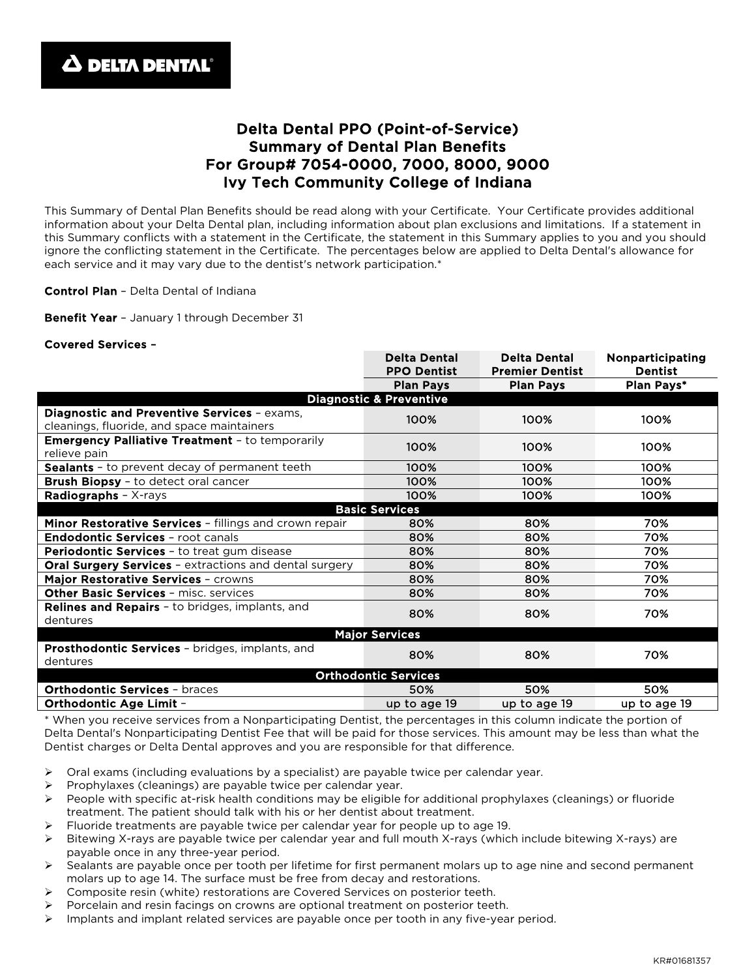# Delta Dental PPO (Point-of-Service) Summary of Dental Plan Benefits For Group# 7054-0000, 7000, 8000, 9000 Ivy Tech Community College of Indiana

This Summary of Dental Plan Benefits should be read along with your Certificate. Your Certificate provides additional information about your Delta Dental plan, including information about plan exclusions and limitations. If a statement in this Summary conflicts with a statement in the Certificate, the statement in this Summary applies to you and you should ignore the conflicting statement in the Certificate. The percentages below are applied to Delta Dental's allowance for each service and it may vary due to the dentist's network participation.\*

Control Plan - Delta Dental of Indiana

Benefit Year - January 1 through December 31

#### Covered Services –

|                                                               | <b>Delta Dental</b><br><b>PPO Dentist</b> | <b>Delta Dental</b><br><b>Premier Dentist</b> | Nonparticipating<br><b>Dentist</b> |
|---------------------------------------------------------------|-------------------------------------------|-----------------------------------------------|------------------------------------|
|                                                               | <b>Plan Pays</b>                          | <b>Plan Pays</b>                              | Plan Pays*                         |
| <b>Diagnostic &amp; Preventive</b>                            |                                           |                                               |                                    |
| Diagnostic and Preventive Services - exams,                   | 100%                                      | 100%                                          | 100%                               |
| cleanings, fluoride, and space maintainers                    |                                           |                                               |                                    |
| <b>Emergency Palliative Treatment - to temporarily</b>        | 100%                                      | 100%                                          | 100%                               |
| relieve pain                                                  |                                           |                                               |                                    |
| Sealants - to prevent decay of permanent teeth                | 100%                                      | 100%                                          | 100%                               |
| <b>Brush Biopsy</b> - to detect oral cancer                   | 100%                                      | 100%                                          | 100%                               |
| Radiographs - X-rays                                          | 100%                                      | 100%                                          | 100%                               |
|                                                               | <b>Basic Services</b>                     |                                               |                                    |
| Minor Restorative Services - fillings and crown repair        | 80%                                       | 80%                                           | 70%                                |
| <b>Endodontic Services - root canals</b>                      | 80%                                       | 80%                                           | 70%                                |
| <b>Periodontic Services</b> - to treat gum disease            | 80%                                       | 80%                                           | 70%                                |
| <b>Oral Surgery Services - extractions and dental surgery</b> | 80%                                       | 80%                                           | 70%                                |
| Major Restorative Services - crowns                           | 80%                                       | 80%                                           | 70%                                |
| Other Basic Services - misc. services                         | 80%                                       | 80%                                           | 70%                                |
| <b>Relines and Repairs - to bridges, implants, and</b>        | 80%                                       | 80%                                           | 70%                                |
| dentures                                                      |                                           |                                               |                                    |
|                                                               | <b>Major Services</b>                     |                                               |                                    |
| <b>Prosthodontic Services - bridges, implants, and</b>        |                                           |                                               |                                    |
| dentures                                                      | 80%                                       | 80%                                           | 70%                                |
| <b>Orthodontic Services</b>                                   |                                           |                                               |                                    |
| <b>Orthodontic Services - braces</b>                          | 50%                                       | 50%                                           | 50%                                |
| <b>Orthodontic Age Limit -</b>                                | up to age 19                              | up to age 19                                  | up to age 19                       |

\* When you receive services from a Nonparticipating Dentist, the percentages in this column indicate the portion of Delta Dental's Nonparticipating Dentist Fee that will be paid for those services. This amount may be less than what the Dentist charges or Delta Dental approves and you are responsible for that difference.

- $\triangleright$  Oral exams (including evaluations by a specialist) are payable twice per calendar year.
- Prophylaxes (cleanings) are payable twice per calendar year.
- $\triangleright$  People with specific at-risk health conditions may be eligible for additional prophylaxes (cleanings) or fluoride treatment. The patient should talk with his or her dentist about treatment.
- Fluoride treatments are payable twice per calendar year for people up to age 19.
- Bitewing X-rays are payable twice per calendar year and full mouth X-rays (which include bitewing X-rays) are payable once in any three-year period.
- $\triangleright$  Sealants are payable once per tooth per lifetime for first permanent molars up to age nine and second permanent molars up to age 14. The surface must be free from decay and restorations.
- Composite resin (white) restorations are Covered Services on posterior teeth.
- Porcelain and resin facings on crowns are optional treatment on posterior teeth.
- $\triangleright$  Implants and implant related services are payable once per tooth in any five-year period.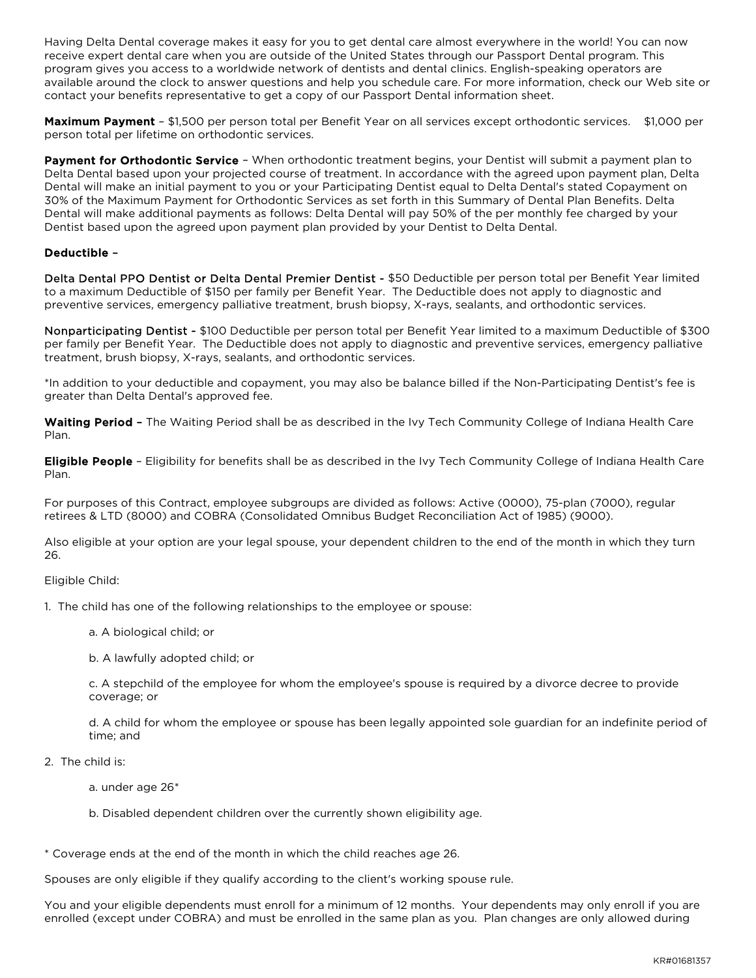Having Delta Dental coverage makes it easy for you to get dental care almost everywhere in the world! You can now receive expert dental care when you are outside of the United States through our Passport Dental program. This program gives you access to a worldwide network of dentists and dental clinics. English-speaking operators are available around the clock to answer questions and help you schedule care. For more information, check our Web site or contact your benefits representative to get a copy of our Passport Dental information sheet.

Maximum Payment - \$1,500 per person total per Benefit Year on all services except orthodontic services. \$1,000 per person total per lifetime on orthodontic services.

Payment for Orthodontic Service - When orthodontic treatment begins, your Dentist will submit a payment plan to Delta Dental based upon your projected course of treatment. In accordance with the agreed upon payment plan, Delta Dental will make an initial payment to you or your Participating Dentist equal to Delta Dental's stated Copayment on 30% of the Maximum Payment for Orthodontic Services as set forth in this Summary of Dental Plan Benefits. Delta Dental will make additional payments as follows: Delta Dental will pay 50% of the per monthly fee charged by your Dentist based upon the agreed upon payment plan provided by your Dentist to Delta Dental.

## Deductible –

Delta Dental PPO Dentist or Delta Dental Premier Dentist - \$50 Deductible per person total per Benefit Year limited to a maximum Deductible of \$150 per family per Benefit Year. The Deductible does not apply to diagnostic and preventive services, emergency palliative treatment, brush biopsy, X-rays, sealants, and orthodontic services.

Nonparticipating Dentist - \$100 Deductible per person total per Benefit Year limited to a maximum Deductible of \$300 per family per Benefit Year. The Deductible does not apply to diagnostic and preventive services, emergency palliative treatment, brush biopsy, X-rays, sealants, and orthodontic services.

\*In addition to your deductible and copayment, you may also be balance billed if the Non-Participating Dentist's fee is greater than Delta Dental's approved fee.

Waiting Period - The Waiting Period shall be as described in the Ivy Tech Community College of Indiana Health Care Plan.

Eligible People - Eligibility for benefits shall be as described in the Ivy Tech Community College of Indiana Health Care Plan.

For purposes of this Contract, employee subgroups are divided as follows: Active (0000), 75-plan (7000), regular retirees & LTD (8000) and COBRA (Consolidated Omnibus Budget Reconciliation Act of 1985) (9000).

Also eligible at your option are your legal spouse, your dependent children to the end of the month in which they turn 26.

#### Eligible Child:

1. The child has one of the following relationships to the employee or spouse:

a. A biological child; or

b. A lawfully adopted child; or

c. A stepchild of the employee for whom the employee's spouse is required by a divorce decree to provide coverage; or

d. A child for whom the employee or spouse has been legally appointed sole guardian for an indefinite period of time; and

- 2. The child is:
	- a. under age 26\*
	- b. Disabled dependent children over the currently shown eligibility age.

\* Coverage ends at the end of the month in which the child reaches age 26.

Spouses are only eligible if they qualify according to the client's working spouse rule.

You and your eligible dependents must enroll for a minimum of 12 months. Your dependents may only enroll if you are enrolled (except under COBRA) and must be enrolled in the same plan as you. Plan changes are only allowed during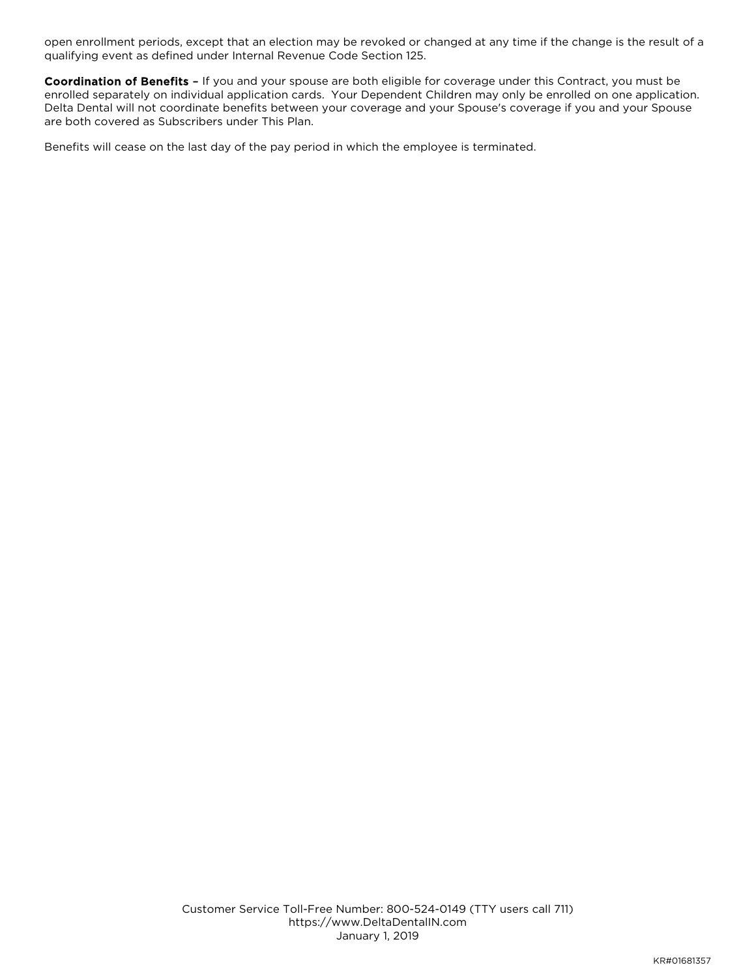open enrollment periods, except that an election may be revoked or changed at any time if the change is the result of a qualifying event as defined under Internal Revenue Code Section 125.

Coordination of Benefits - If you and your spouse are both eligible for coverage under this Contract, you must be enrolled separately on individual application cards. Your Dependent Children may only be enrolled on one application. Delta Dental will not coordinate benefits between your coverage and your Spouse's coverage if you and your Spouse are both covered as Subscribers under This Plan.

Benefits will cease on the last day of the pay period in which the employee is terminated.